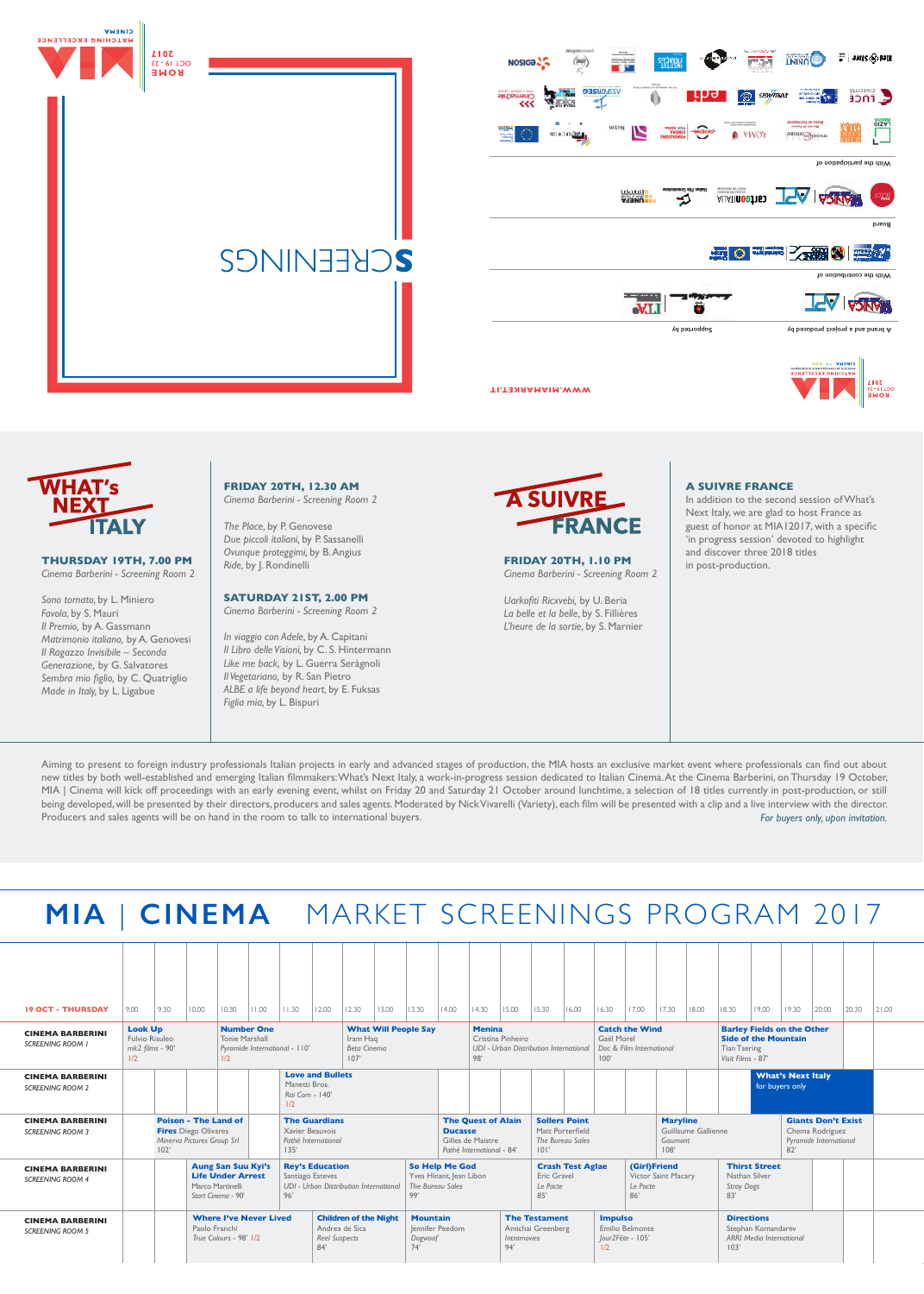



**Supported by A brand and a project produced by** 





### **THURSDAY 19TH, 7.00 PM** *Cinema Barberini - Screening Room 2*

*Sono tornato,* by L. Miniero *Favola*, by S. Mauri *Il Premio,* by A. Gassmann *Matrimonio italiano,* by A. Genovesi *Il Ragazzo Invisibile – Seconda Generazione,* by G. Salvatores Sembra mio figlio, by C. Quatriglio *Made in Italy,* by L. Ligabue

## **FRIDAY 20TH, 12.30 AM** *Cinema Barberini - Screening Room 2*

*The Place,* by P. Genovese *Due piccoli italiani,* by P. Sassanelli *Ovunque proteggimi,* by B. Angius *Ride,* by J. Rondinelli

## **SATURDAY 21ST, 2.00 PM**

*Cinema Barberini - Screening Room 2*

*In viaggio con Adele,* by A. Capitani *Il Libro delle Visioni,* by C. S. Hintermann *Like me back,* by L. Guerra Seràgnoli *Il Vegetariano,* by R. San Pietro *ALBE a life beyond heart,* by E. Fuksas *Figlia mia,* by L. Bispuri



**FRIDAY 20TH, 1.10 PM** *Cinema Barberini - Screening Room 2*

*Uarkoiti Ricxvebi,* by U. Beria *La belle et la belle,* by S. Fillières *L'heure de la sortie,* by S. Marnier

#### **A SUIVRE FRANCE**

In addition to the second session of What's Next Italy, we are glad to host France as guest of honor at MIA12017, with a specific 'in progress session' devoted to highlight and discover three 2018 titles in post-production.

Aiming to present to foreign industry professionals Italian projects in early and advanced stages of production, the MIA hosts an exclusive market event where professionals can find out about new titles by both well-established and emerging Italian filmmakers: What's Next Italy, a work-in-progress session dedicated to Italian Cinema. At the Cinema Barberini, on Thursday 19 October, MIA | Cinema will kick off proceedings with an early evening event, whilst on Friday 20 and Saturday 21 October around lunchtime, a selection of 18 titles currently in post-production, or still being developed, will be presented by their directors, producers and sales agents. Moderated by Nick Vivarelli (Variety), each film will be presented with a clip and a live interview with the director. Producers and sales agents will be on hand in the room to talk to international buyers. *For buyers only, upon invitation.*

| <b>19 OCT - THURSDAY</b><br>9.00 | 9.30 | 10.00 | 10.30 | $\left\vert \right\vert$ 11.00 | 11.30 |  | $\vert$ 12.00 $\vert$ 12.30 $\vert$ 13.00 |  | 13.30 | $ 14.00 $ $ 14.30 $ |  | 15.00 | $ 15.30 $ $ 16.00 $ |  | 16.30 | 17.00 | 17.30 | 18.00 | 18.30 | 19.00 | 19.30 | 20.00 | 20.30 | 2 .00 |
|----------------------------------|------|-------|-------|--------------------------------|-------|--|-------------------------------------------|--|-------|---------------------|--|-------|---------------------|--|-------|-------|-------|-------|-------|-------|-------|-------|-------|-------|
|----------------------------------|------|-------|-------|--------------------------------|-------|--|-------------------------------------------|--|-------|---------------------|--|-------|---------------------|--|-------|-------|-------|-------|-------|-------|-------|-------|-------|-------|

| <b>CINEMA BARBERINI</b><br><b>SCREENING ROOM 1</b> | <b>Look Up</b><br>Fulvio Risuleo<br>$mk2$ films - $90'$<br>1/2           |      |                                                                                          | <b>Number One</b><br>Tonie Marshall                                                                                                                  | Pyramide International - 110'                                                 |                                                      | Iram Hag<br>107'                                               | <b>What Will People Say</b><br><b>Beta Cinema</b>                                                              |                |                                                                             |  | Cristina Pinheiro<br>UDI - Urban Distribution International        |                 | <b>Catch the Wind</b><br>Gaël Morel<br>Doc & Film International<br>100' |  |                                                                                    |  | <b>Barley Fields on the Other</b><br><b>Side of the Mountain</b><br><b>Tian Tsering</b><br>Visit Films - 87' |  |                                                                               |  |  |  |
|----------------------------------------------------|--------------------------------------------------------------------------|------|------------------------------------------------------------------------------------------|------------------------------------------------------------------------------------------------------------------------------------------------------|-------------------------------------------------------------------------------|------------------------------------------------------|----------------------------------------------------------------|----------------------------------------------------------------------------------------------------------------|----------------|-----------------------------------------------------------------------------|--|--------------------------------------------------------------------|-----------------|-------------------------------------------------------------------------|--|------------------------------------------------------------------------------------|--|--------------------------------------------------------------------------------------------------------------|--|-------------------------------------------------------------------------------|--|--|--|
| <b>CINEMA BARBERINI</b><br><b>SCREENING ROOM 2</b> |                                                                          |      |                                                                                          |                                                                                                                                                      |                                                                               | Manetti Bros.<br>Rai Com - 140'<br>1/2               | <b>Love and Bullets</b>                                        |                                                                                                                |                |                                                                             |  |                                                                    |                 |                                                                         |  |                                                                                    |  |                                                                                                              |  | <b>What's Next Italy</b><br>for buyers only                                   |  |  |  |
| <b>CINEMA BARBERINI</b><br><b>SCREENING ROOM 3</b> |                                                                          | 102' | <b>Poison - The Land of</b><br><b>Fires</b> Diego Olivares<br>Minerva Pictures Group Srl |                                                                                                                                                      |                                                                               |                                                      | <b>The Guardians</b><br>Xavier Beauvois<br>Pathé International |                                                                                                                | <b>Ducasse</b> | <b>The Quest of Alain</b><br>Gilles de Maistre<br>Pathé International - 84' |  | <b>Sollers Point</b><br>Matt Porterfield<br>The Bureau Sales<br> 0 |                 |                                                                         |  | <b>Maryline</b><br>Guillaume Gallienne<br>Gaumont<br>108'                          |  |                                                                                                              |  | <b>Giants Don't Exist</b><br>Chema Rodriguez<br>Pyramide International<br>82' |  |  |  |
| <b>CINEMA BARBERINI</b><br><b>SCREENING ROOM 4</b> |                                                                          |      |                                                                                          | <b>Rey's Education</b><br><b>Aung San Suu Kyi's</b><br><b>Life Under Arrest</b><br>Santiago Esteves<br>Marco Martinelli<br>96'<br>Start Cinema - 90' |                                                                               |                                                      |                                                                | So Help Me God<br>Yves Hinant, Jean Libon<br>UDI - Urban Distribution International<br>The Bureau Sales<br>99' |                |                                                                             |  | <b>Crash Test Aglae</b><br>Eric Gravel<br>Le Pacte<br>85'          |                 | Le Pacte<br>86'                                                         |  | (Girl)Friend<br>Victor Saint Macary                                                |  | <b>Thirst Street</b><br>Nathan Silver<br><b>Stray Dogs</b><br>83'                                            |  |                                                                               |  |  |  |
| <b>CINEMA BARBERINI</b><br><b>SCREENING ROOM 5</b> | <b>Where I've Never Lived</b><br>Paolo Franchi<br>True Colours - 98' 1/2 |      |                                                                                          |                                                                                                                                                      | <b>Children of the Night</b><br>Andrea de Sica<br><b>Reel Suspects</b><br>84' | <b>Mountain</b><br>Jennifer Peedom<br>Dogwoof<br>74' |                                                                |                                                                                                                | 94'            | <b>The Testament</b><br>Amichai Greenberg<br>Intramovies                    |  | <b>Impulso</b><br>Jour2Fête - 105'<br>1/2                          | Emilio Belmonte |                                                                         |  | <b>Directions</b><br>Stephan Komandarev<br><b>ARRI Media International</b><br>103' |  |                                                                                                              |  |                                                                               |  |  |  |

# **MIA** | **CINEMA** MARKET SCREENINGS PROGRAM 2017

**WWW.MIAMARKET.IT**